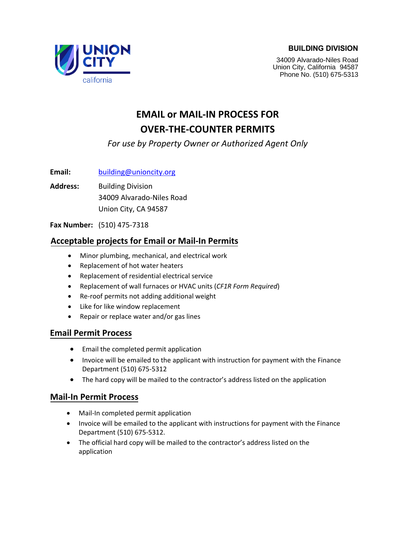#### **BUILDING DIVISION**



34009 Alvarado-Niles Road Union City, California 94587 Phone No. (510) 675-5313

## **EMAIL or MAIL-IN PROCESS FOR [OVER-T](mailto:building@unioncity.org)HE-COUNTER PERMITS**

### *For use by Property Owner or Authorized Agent Only*

**Email:** building@unioncity.org

**Address:** Building Division 34009 Alvarado-Niles Road Union City, CA 94587

**Fax Number:** (510) 475-7318

#### **Acceptable projects for Email or Mail-In Permits**

- Minor plumbing, mechanical, and electrical work
- Replacement of hot water heaters
- Replacement of residential electrical service
- Replacement of wall furnaces or HVAC units (*CF1R Form Required*)
- Re-roof permits not adding additional weight
- Like for like window replacement
- Repair or replace water and/or gas lines

#### **Email Permit Process**

- Email the completed permit application
- Invoice will be emailed to the applicant with instruction for payment with the Finance Department (510) 675-5312
- The hard copy will be mailed to the contractor's address listed on the application

#### **Mail-In Permit Process**

- Mail-In completed permit application
- Invoice will be emailed to the applicant with instructions for payment with the Finance Department (510) 675-5312.
- The official hard copy will be mailed to the contractor's address listed on the application